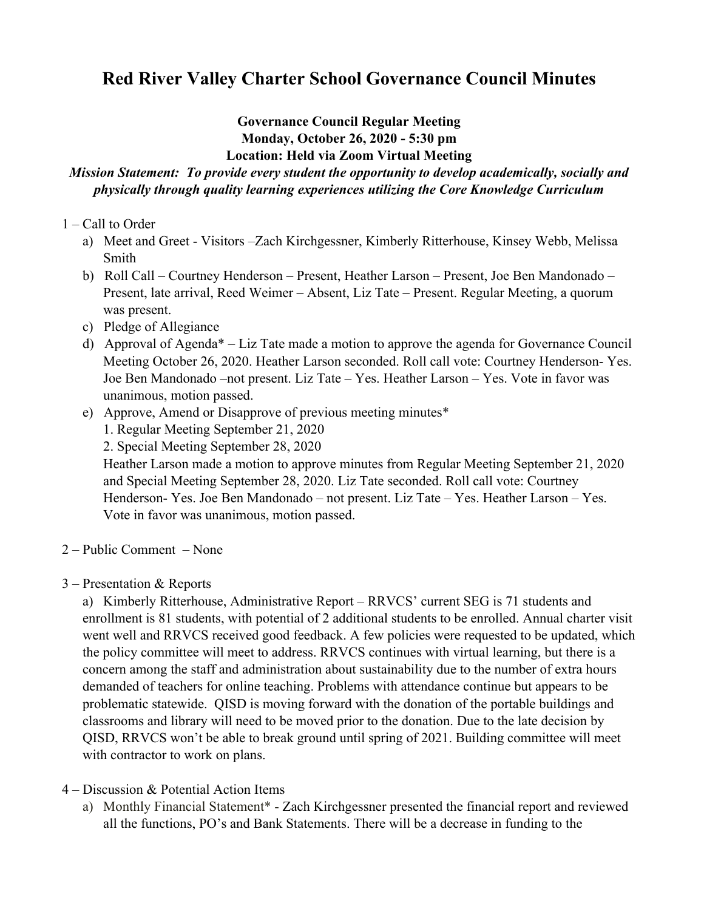# **Red River Valley Charter School Governance Council Minutes**

## **Governance Council Regular Meeting Monday, October 26, 2020 - 5:30 pm Location: Held via Zoom Virtual Meeting**

## *Mission Statement: To provide every student the opportunity to develop academically, socially and physically through quality learning experiences utilizing the Core Knowledge Curriculum*

## 1 – Call to Order

- a) Meet and Greet Visitors –Zach Kirchgessner, Kimberly Ritterhouse, Kinsey Webb, Melissa Smith
- b) Roll Call Courtney Henderson Present, Heather Larson Present, Joe Ben Mandonado Present, late arrival, Reed Weimer – Absent, Liz Tate – Present. Regular Meeting, a quorum was present.
- c) Pledge of Allegiance
- d) Approval of Agenda\* Liz Tate made a motion to approve the agenda for Governance Council Meeting October 26, 2020. Heather Larson seconded. Roll call vote: Courtney Henderson- Yes. Joe Ben Mandonado –not present. Liz Tate – Yes. Heather Larson – Yes. Vote in favor was unanimous, motion passed.
- e) Approve, Amend or Disapprove of previous meeting minutes\*

1. Regular Meeting September 21, 2020

2. Special Meeting September 28, 2020

Heather Larson made a motion to approve minutes from Regular Meeting September 21, 2020 and Special Meeting September 28, 2020. Liz Tate seconded. Roll call vote: Courtney Henderson- Yes. Joe Ben Mandonado – not present. Liz Tate – Yes. Heather Larson – Yes. Vote in favor was unanimous, motion passed.

- 2 Public Comment None
- 3 Presentation & Reports

a) Kimberly Ritterhouse, Administrative Report – RRVCS' current SEG is 71 students and enrollment is 81 students, with potential of 2 additional students to be enrolled. Annual charter visit went well and RRVCS received good feedback. A few policies were requested to be updated, which the policy committee will meet to address. RRVCS continues with virtual learning, but there is a concern among the staff and administration about sustainability due to the number of extra hours demanded of teachers for online teaching. Problems with attendance continue but appears to be problematic statewide. QISD is moving forward with the donation of the portable buildings and classrooms and library will need to be moved prior to the donation. Due to the late decision by QISD, RRVCS won't be able to break ground until spring of 2021. Building committee will meet with contractor to work on plans.

4 – Discussion & Potential Action Items

a) Monthly Financial Statement\* - Zach Kirchgessner presented the financial report and reviewed all the functions, PO's and Bank Statements. There will be a decrease in funding to the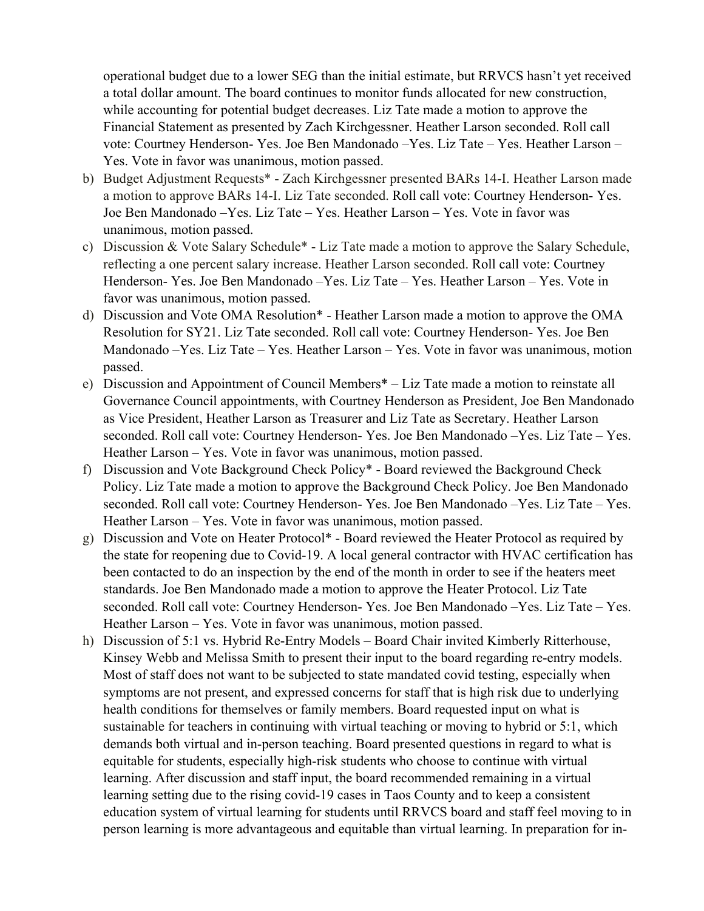operational budget due to a lower SEG than the initial estimate, but RRVCS hasn't yet received a total dollar amount. The board continues to monitor funds allocated for new construction, while accounting for potential budget decreases. Liz Tate made a motion to approve the Financial Statement as presented by Zach Kirchgessner. Heather Larson seconded. Roll call vote: Courtney Henderson- Yes. Joe Ben Mandonado –Yes. Liz Tate – Yes. Heather Larson – Yes. Vote in favor was unanimous, motion passed.

- b) Budget Adjustment Requests\* Zach Kirchgessner presented BARs 14-I. Heather Larson made a motion to approve BARs 14-I. Liz Tate seconded. Roll call vote: Courtney Henderson- Yes. Joe Ben Mandonado –Yes. Liz Tate – Yes. Heather Larson – Yes. Vote in favor was unanimous, motion passed.
- c) Discussion & Vote Salary Schedule\* Liz Tate made a motion to approve the Salary Schedule, reflecting a one percent salary increase. Heather Larson seconded. Roll call vote: Courtney Henderson- Yes. Joe Ben Mandonado –Yes. Liz Tate – Yes. Heather Larson – Yes. Vote in favor was unanimous, motion passed.
- d) Discussion and Vote OMA Resolution\* Heather Larson made a motion to approve the OMA Resolution for SY21. Liz Tate seconded. Roll call vote: Courtney Henderson- Yes. Joe Ben Mandonado –Yes. Liz Tate – Yes. Heather Larson – Yes. Vote in favor was unanimous, motion passed.
- e) Discussion and Appointment of Council Members\* Liz Tate made a motion to reinstate all Governance Council appointments, with Courtney Henderson as President, Joe Ben Mandonado as Vice President, Heather Larson as Treasurer and Liz Tate as Secretary. Heather Larson seconded. Roll call vote: Courtney Henderson- Yes. Joe Ben Mandonado –Yes. Liz Tate – Yes. Heather Larson – Yes. Vote in favor was unanimous, motion passed.
- f) Discussion and Vote Background Check Policy\* Board reviewed the Background Check Policy. Liz Tate made a motion to approve the Background Check Policy. Joe Ben Mandonado seconded. Roll call vote: Courtney Henderson- Yes. Joe Ben Mandonado –Yes. Liz Tate – Yes. Heather Larson – Yes. Vote in favor was unanimous, motion passed.
- g) Discussion and Vote on Heater Protocol\* Board reviewed the Heater Protocol as required by the state for reopening due to Covid-19. A local general contractor with HVAC certification has been contacted to do an inspection by the end of the month in order to see if the heaters meet standards. Joe Ben Mandonado made a motion to approve the Heater Protocol. Liz Tate seconded. Roll call vote: Courtney Henderson- Yes. Joe Ben Mandonado –Yes. Liz Tate – Yes. Heather Larson – Yes. Vote in favor was unanimous, motion passed.
- h) Discussion of 5:1 vs. Hybrid Re-Entry Models Board Chair invited Kimberly Ritterhouse, Kinsey Webb and Melissa Smith to present their input to the board regarding re-entry models. Most of staff does not want to be subjected to state mandated covid testing, especially when symptoms are not present, and expressed concerns for staff that is high risk due to underlying health conditions for themselves or family members. Board requested input on what is sustainable for teachers in continuing with virtual teaching or moving to hybrid or 5:1, which demands both virtual and in-person teaching. Board presented questions in regard to what is equitable for students, especially high-risk students who choose to continue with virtual learning. After discussion and staff input, the board recommended remaining in a virtual learning setting due to the rising covid-19 cases in Taos County and to keep a consistent education system of virtual learning for students until RRVCS board and staff feel moving to in person learning is more advantageous and equitable than virtual learning. In preparation for in-